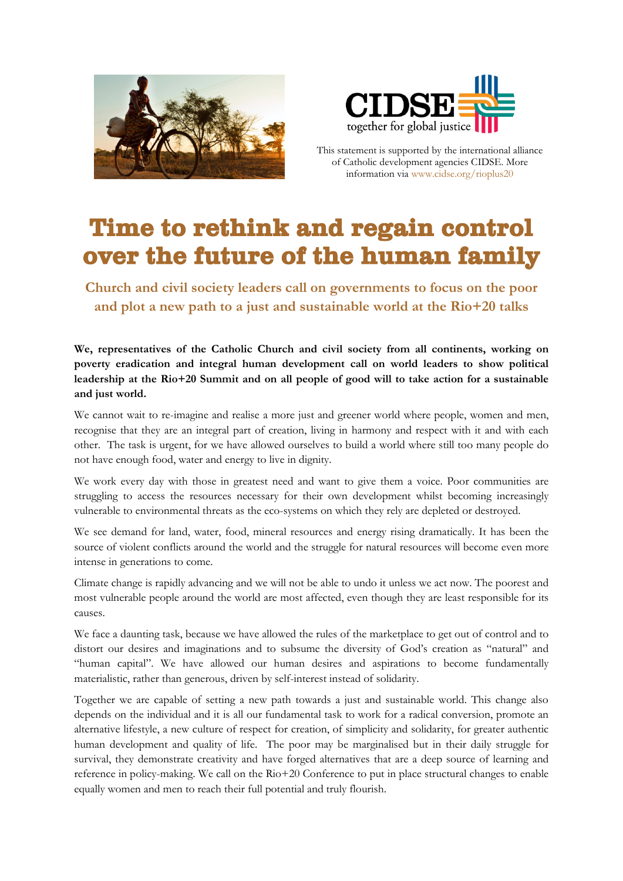



This statement is supported by the international alliance of Catholic development agencies CIDSE. More information via www.cidse.org/rioplus20

## Time to rethink and regain control over the future of the human family

**Church and civil society leaders call on governments to focus on the poor and plot a new path to a just and sustainable world at the Rio+20 talks**

**We, representatives of the Catholic Church and civil society from all continents, working on poverty eradication and integral human development call on world leaders to show political leadership at the Rio+20 Summit and on all people of good will to take action for a sustainable and just world.**

We cannot wait to re-imagine and realise a more just and greener world where people, women and men, recognise that they are an integral part of creation, living in harmony and respect with it and with each other. The task is urgent, for we have allowed ourselves to build a world where still too many people do not have enough food, water and energy to live in dignity.

We work every day with those in greatest need and want to give them a voice. Poor communities are struggling to access the resources necessary for their own development whilst becoming increasingly vulnerable to environmental threats as the eco-systems on which they rely are depleted or destroyed.

We see demand for land, water, food, mineral resources and energy rising dramatically. It has been the source of violent conflicts around the world and the struggle for natural resources will become even more intense in generations to come.

Climate change is rapidly advancing and we will not be able to undo it unless we act now. The poorest and most vulnerable people around the world are most affected, even though they are least responsible for its causes.

We face a daunting task, because we have allowed the rules of the marketplace to get out of control and to distort our desires and imaginations and to subsume the diversity of God's creation as "natural" and "human capital". We have allowed our human desires and aspirations to become fundamentally materialistic, rather than generous, driven by self-interest instead of solidarity.

Together we are capable of setting a new path towards a just and sustainable world. This change also depends on the individual and it is all our fundamental task to work for a radical conversion, promote an alternative lifestyle, a new culture of respect for creation, of simplicity and solidarity, for greater authentic human development and quality of life. The poor may be marginalised but in their daily struggle for survival, they demonstrate creativity and have forged alternatives that are a deep source of learning and reference in policy-making. We call on the Rio+20 Conference to put in place structural changes to enable equally women and men to reach their full potential and truly flourish.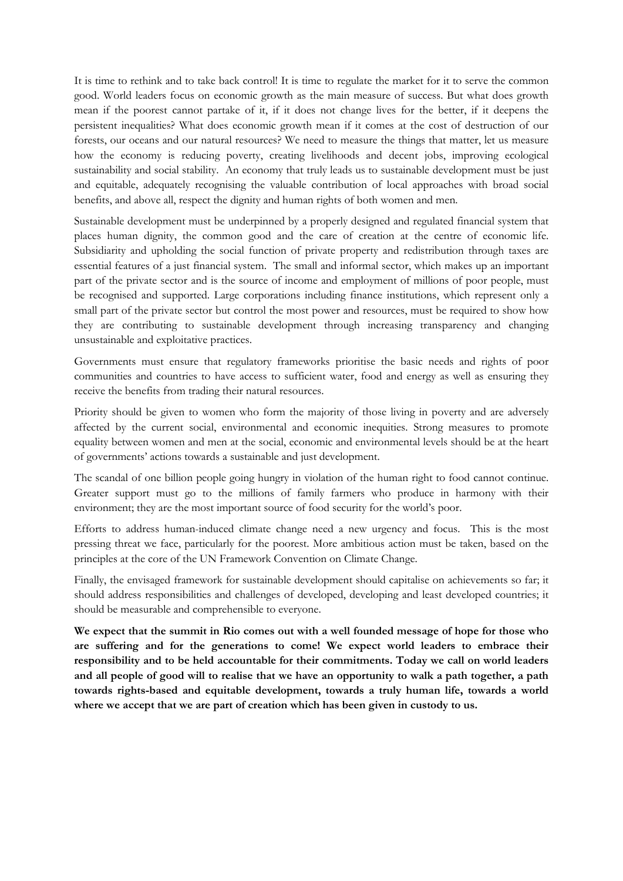It is time to rethink and to take back control! It is time to regulate the market for it to serve the common good. World leaders focus on economic growth as the main measure of success. But what does growth mean if the poorest cannot partake of it, if it does not change lives for the better, if it deepens the persistent inequalities? What does economic growth mean if it comes at the cost of destruction of our forests, our oceans and our natural resources? We need to measure the things that matter, let us measure how the economy is reducing poverty, creating livelihoods and decent jobs, improving ecological sustainability and social stability. An economy that truly leads us to sustainable development must be just and equitable, adequately recognising the valuable contribution of local approaches with broad social benefits, and above all, respect the dignity and human rights of both women and men.

Sustainable development must be underpinned by a properly designed and regulated financial system that places human dignity, the common good and the care of creation at the centre of economic life. Subsidiarity and upholding the social function of private property and redistribution through taxes are essential features of a just financial system. The small and informal sector, which makes up an important part of the private sector and is the source of income and employment of millions of poor people, must be recognised and supported. Large corporations including finance institutions, which represent only a small part of the private sector but control the most power and resources, must be required to show how they are contributing to sustainable development through increasing transparency and changing unsustainable and exploitative practices.

Governments must ensure that regulatory frameworks prioritise the basic needs and rights of poor communities and countries to have access to sufficient water, food and energy as well as ensuring they receive the benefits from trading their natural resources.

Priority should be given to women who form the majority of those living in poverty and are adversely affected by the current social, environmental and economic inequities. Strong measures to promote equality between women and men at the social, economic and environmental levels should be at the heart of governments' actions towards a sustainable and just development.

The scandal of one billion people going hungry in violation of the human right to food cannot continue. Greater support must go to the millions of family farmers who produce in harmony with their environment; they are the most important source of food security for the world's poor.

Efforts to address human-induced climate change need a new urgency and focus. This is the most pressing threat we face, particularly for the poorest. More ambitious action must be taken, based on the principles at the core of the UN Framework Convention on Climate Change.

Finally, the envisaged framework for sustainable development should capitalise on achievements so far; it should address responsibilities and challenges of developed, developing and least developed countries; it should be measurable and comprehensible to everyone.

**We expect that the summit in Rio comes out with a well founded message of hope for those who are suffering and for the generations to come! We expect world leaders to embrace their responsibility and to be held accountable for their commitments. Today we call on world leaders and all people of good will to realise that we have an opportunity to walk a path together, a path towards rights-based and equitable development, towards a truly human life, towards a world where we accept that we are part of creation which has been given in custody to us.**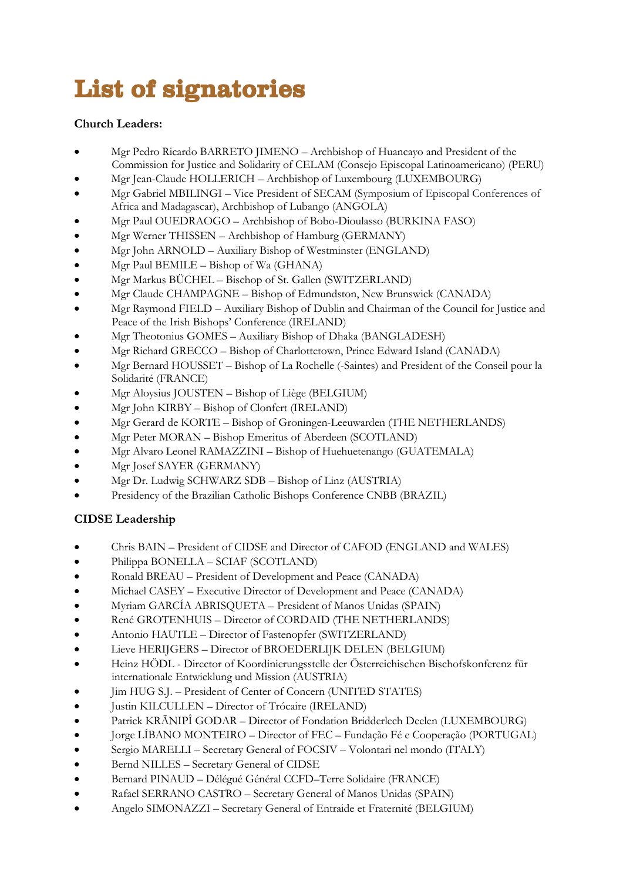# List of signatories

#### **Church Leaders:**

- Mgr Pedro Ricardo BARRETO JIMENO Archbishop of Huancayo and President of the Commission for Justice and Solidarity of CELAM (Consejo Episcopal Latinoamericano) (PERU)
- Mgr Jean-Claude HOLLERICH Archbishop of Luxembourg (LUXEMBOURG)
- Mgr Gabriel MBILINGI Vice President of SECAM (Symposium of Episcopal Conferences of Africa and Madagascar), Archbishop of Lubango (ANGOLA)
- Mgr Paul OUEDRAOGO Archbishop of Bobo-Dioulasso (BURKINA FASO)
- Mgr Werner THISSEN Archbishop o[f Hamburg](http://www.catholic-hierarchy.org/diocese/dhamd.html) (GERMANY)
- Mgr John ARNOLD Auxiliary Bishop of Westminster (ENGLAND)
- Mgr Paul BEMILE Bishop of Wa (GHANA)
- Mgr Markus BÜCHEL Bischop of St. Gallen (SWITZERLAND)
- Mgr Claude CHAMPAGNE Bishop of [Edmundston,](http://www.catholic-hierarchy.org/diocese/dedmu.html) New Brunswick (CANADA)
- Mgr Raymond FIELD Auxiliary Bishop of Dublin and Chairman of the Council for Justice and Peace of the Irish Bishops' Conference (IRELAND)
- Mgr Theotonius GOMES Auxiliary Bishop of [Dhaka](http://www.catholic-hierarchy.org/diocese/ddhak.html) (BANGLADESH)
- Mgr Richard GRECCO Bishop o[f Charlottetown,](http://www.catholic-hierarchy.org/diocese/dchap.html) Prince Edward Island (CANADA)
- Mgr Bernard HOUSSET Bishop of La Rochelle (-Saintes) and President of the Conseil pour la Solidarité (FRANCE)
- Mgr Aloysius JOUSTEN Bishop of [Liège](http://www.catholic-hierarchy.org/diocese/dlieg.html) (BELGIUM)
- Mgr John KIRBY Bishop of Clonfert (IRELAND)
- Mgr Gerard de KORTE Bishop of Groningen-Leeuwarden (THE NETHERLANDS)
- Mgr Peter MORAN Bishop Emeritus of [Aberdeen](http://www.catholic-hierarchy.org/diocese/daber.html) (SCOTLAND)
- Mgr Alvaro Leonel RAMAZZINI Bishop of [Huehuetenango](http://www.catholic-hierarchy.org/diocese/dhueh.html) (GUATEMALA)
- Mgr Josef SAYER (GERMANY)
- Mgr Dr. Ludwig SCHWARZ SDB Bishop of Linz (AUSTRIA)
- Presidency of the Brazilian Catholic Bishops Conference CNBB (BRAZIL)

### **CIDSE Leadership**

- Chris BAIN President of CIDSE and Director of CAFOD (ENGLAND and WALES)
- Philippa BONELLA SCIAF (SCOTLAND)
- Ronald BREAU President of Development and Peace (CANADA)
- Michael CASEY Executive Director of Development and Peace (CANADA)
- Myriam GARCÍA ABRISQUETA President of Manos Unidas (SPAIN)
- René GROTENHUIS Director of CORDAID (THE NETHERLANDS)
- Antonio HAUTLE Director of Fastenopfer (SWITZERLAND)
- Lieve HERIJGERS Director of BROEDERLIJK DELEN (BELGIUM)
- Heinz HÖDL Director of Koordinierungsstelle der Österreichischen Bischofskonferenz für internationale Entwicklung und Mission (AUSTRIA)
- Jim HUG S.J. President of Center of Concern (UNITED STATES)
- Justin KILCULLEN Director of Trócaire (IRELAND)
- Patrick KRÃNIPÎ GODAR Director of Fondation Bridderlech Deelen (LUXEMBOURG)
- Jorge LÍBANO MONTEIRO Director of FEC Fundação Fé e Cooperação (PORTUGAL)
- Sergio MARELLI Secretary General of FOCSIV Volontari nel mondo (ITALY)
- Bernd NILLES Secretary General of CIDSE
- Bernard PINAUD Délégué Général CCFD–Terre Solidaire (FRANCE)
- Rafael SERRANO CASTRO Secretary General of Manos Unidas (SPAIN)
- Angelo SIMONAZZI Secretary General of Entraide et Fraternité (BELGIUM)